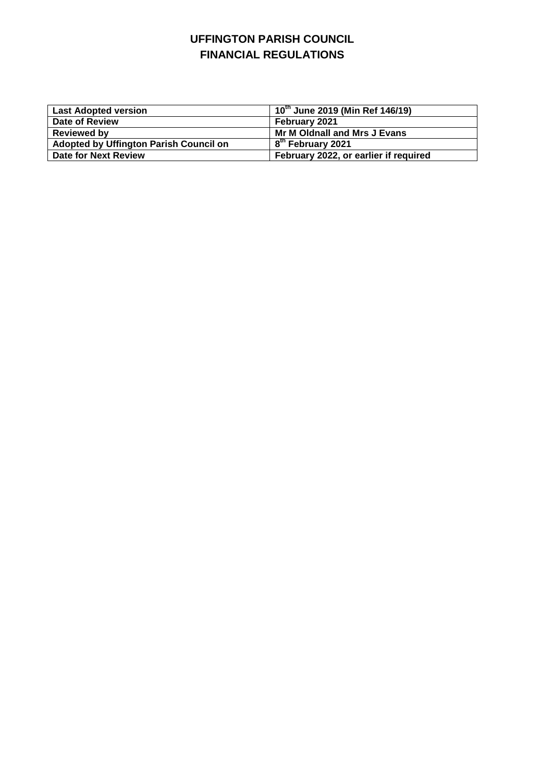## **UFFINGTON PARISH COUNCIL FINANCIAL REGULATIONS**

| <b>Last Adopted version</b>                   | , 10 <sup>th</sup> June 2019 (Min Ref 146/19) |
|-----------------------------------------------|-----------------------------------------------|
| Date of Review                                | February 2021                                 |
| <b>Reviewed by</b>                            | Mr M Oldnall and Mrs J Evans                  |
| <b>Adopted by Uffington Parish Council on</b> | 8 <sup>th</sup> February 2021                 |
| Date for Next Review                          | February 2022, or earlier if required         |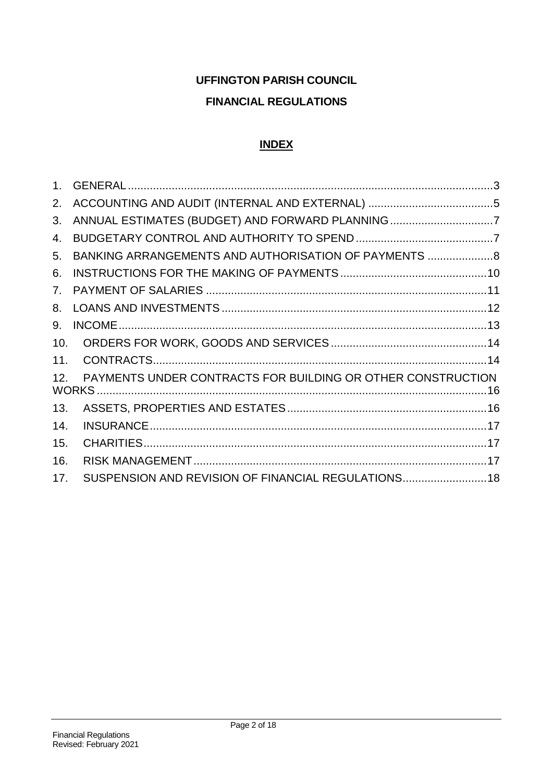# **UFFINGTON PARISH COUNCIL FINANCIAL REGULATIONS**

# **INDEX**

| 2.  |                                                             |
|-----|-------------------------------------------------------------|
| 3.  |                                                             |
| 4.  |                                                             |
| 5.  | BANKING ARRANGEMENTS AND AUTHORISATION OF PAYMENTS 8        |
| 6.  |                                                             |
| 7.  |                                                             |
| 8.  |                                                             |
| 9.  |                                                             |
| 10. |                                                             |
| 11. |                                                             |
| 12. | PAYMENTS UNDER CONTRACTS FOR BUILDING OR OTHER CONSTRUCTION |
| 13. |                                                             |
| 14. |                                                             |
| 15. |                                                             |
| 16. |                                                             |
| 17. | SUSPENSION AND REVISION OF FINANCIAL REGULATIONS 18         |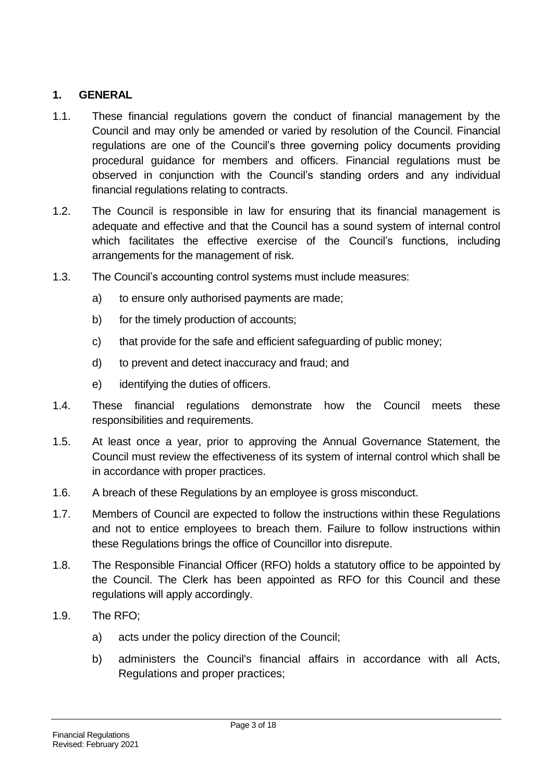#### <span id="page-2-0"></span>**1. GENERAL**

- 1.1. These financial regulations govern the conduct of financial management by the Council and may only be amended or varied by resolution of the Council. Financial regulations are one of the Council's three governing policy documents providing procedural guidance for members and officers. Financial regulations must be observed in conjunction with the Council's standing orders and any individual financial regulations relating to contracts.
- 1.2. The Council is responsible in law for ensuring that its financial management is adequate and effective and that the Council has a sound system of internal control which facilitates the effective exercise of the Council's functions, including arrangements for the management of risk.
- 1.3. The Council's accounting control systems must include measures:
	- a) to ensure only authorised payments are made;
	- b) for the timely production of accounts;
	- c) that provide for the safe and efficient safeguarding of public money;
	- d) to prevent and detect inaccuracy and fraud; and
	- e) identifying the duties of officers.
- 1.4. These financial regulations demonstrate how the Council meets these responsibilities and requirements.
- 1.5. At least once a year, prior to approving the Annual Governance Statement, the Council must review the effectiveness of its system of internal control which shall be in accordance with proper practices.
- 1.6. A breach of these Regulations by an employee is gross misconduct.
- 1.7. Members of Council are expected to follow the instructions within these Regulations and not to entice employees to breach them. Failure to follow instructions within these Regulations brings the office of Councillor into disrepute.
- 1.8. The Responsible Financial Officer (RFO) holds a statutory office to be appointed by the Council. The Clerk has been appointed as RFO for this Council and these regulations will apply accordingly.
- 1.9. The RFO;
	- a) acts under the policy direction of the Council;
	- b) administers the Council's financial affairs in accordance with all Acts, Regulations and proper practices;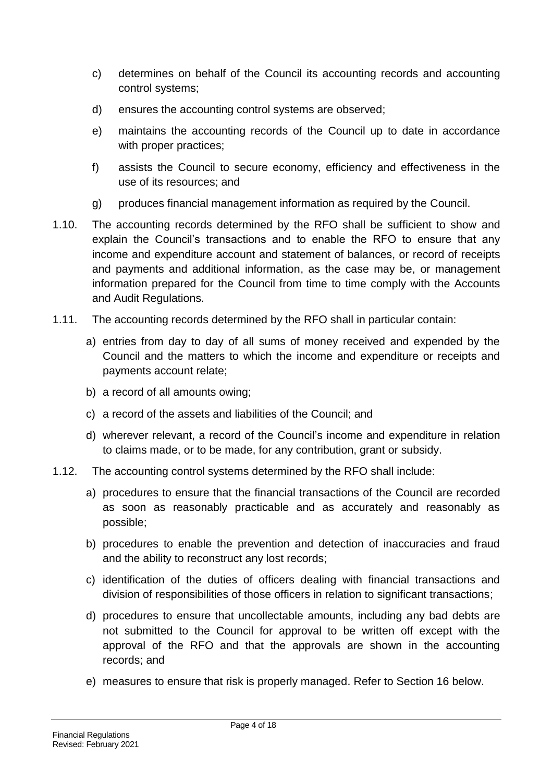- c) determines on behalf of the Council its accounting records and accounting control systems;
- d) ensures the accounting control systems are observed;
- e) maintains the accounting records of the Council up to date in accordance with proper practices;
- f) assists the Council to secure economy, efficiency and effectiveness in the use of its resources; and
- g) produces financial management information as required by the Council.
- 1.10. The accounting records determined by the RFO shall be sufficient to show and explain the Council's transactions and to enable the RFO to ensure that any income and expenditure account and statement of balances, or record of receipts and payments and additional information, as the case may be, or management information prepared for the Council from time to time comply with the Accounts and Audit Regulations.
- 1.11. The accounting records determined by the RFO shall in particular contain:
	- a) entries from day to day of all sums of money received and expended by the Council and the matters to which the income and expenditure or receipts and payments account relate;
	- b) a record of all amounts owing;
	- c) a record of the assets and liabilities of the Council; and
	- d) wherever relevant, a record of the Council's income and expenditure in relation to claims made, or to be made, for any contribution, grant or subsidy.
- 1.12. The accounting control systems determined by the RFO shall include:
	- a) procedures to ensure that the financial transactions of the Council are recorded as soon as reasonably practicable and as accurately and reasonably as possible;
	- b) procedures to enable the prevention and detection of inaccuracies and fraud and the ability to reconstruct any lost records;
	- c) identification of the duties of officers dealing with financial transactions and division of responsibilities of those officers in relation to significant transactions;
	- d) procedures to ensure that uncollectable amounts, including any bad debts are not submitted to the Council for approval to be written off except with the approval of the RFO and that the approvals are shown in the accounting records; and
	- e) measures to ensure that risk is properly managed. Refer to Section 16 below.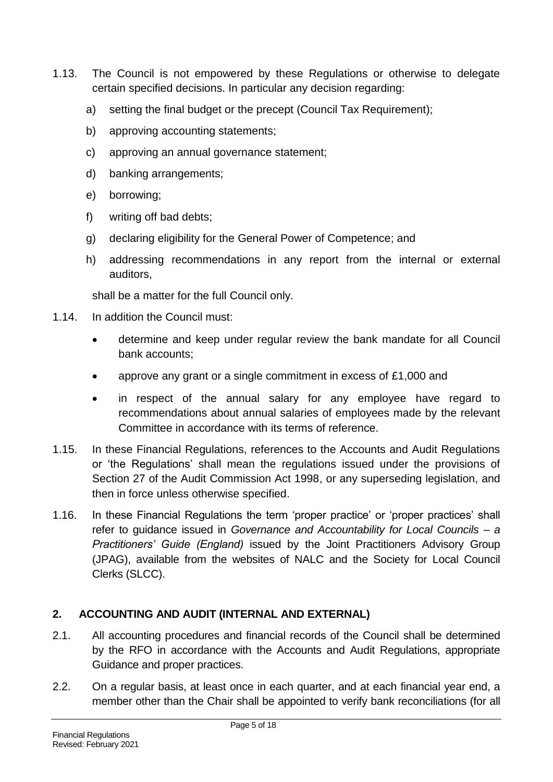- 1.13. The Council is not empowered by these Regulations or otherwise to delegate certain specified decisions. In particular any decision regarding:
	- a) setting the final budget or the precept (Council Tax Requirement);
	- b) approving accounting statements;
	- c) approving an annual governance statement;
	- d) banking arrangements;
	- e) borrowing;
	- f) writing off bad debts;
	- g) declaring eligibility for the General Power of Competence; and
	- h) addressing recommendations in any report from the internal or external auditors,

shall be a matter for the full Council only.

- 1.14. In addition the Council must:
	- determine and keep under regular review the bank mandate for all Council bank accounts;
	- approve any grant or a single commitment in excess of £1,000 and
	- in respect of the annual salary for any employee have regard to recommendations about annual salaries of employees made by the relevant Committee in accordance with its terms of reference.
- 1.15. In these Financial Regulations, references to the Accounts and Audit Regulations or 'the Regulations' shall mean the regulations issued under the provisions of Section 27 of the Audit Commission Act 1998, or any superseding legislation, and then in force unless otherwise specified.
- 1.16. In these Financial Regulations the term 'proper practice' or 'proper practices' shall refer to guidance issued in *Governance and Accountability for Local Councils – a Practitioners' Guide (England)* issued by the Joint Practitioners Advisory Group (JPAG), available from the websites of NALC and the Society for Local Council Clerks (SLCC).

#### <span id="page-4-0"></span>**2. ACCOUNTING AND AUDIT (INTERNAL AND EXTERNAL)**

- 2.1. All accounting procedures and financial records of the Council shall be determined by the RFO in accordance with the Accounts and Audit Regulations, appropriate Guidance and proper practices.
- 2.2. On a regular basis, at least once in each quarter, and at each financial year end, a member other than the Chair shall be appointed to verify bank reconciliations (for all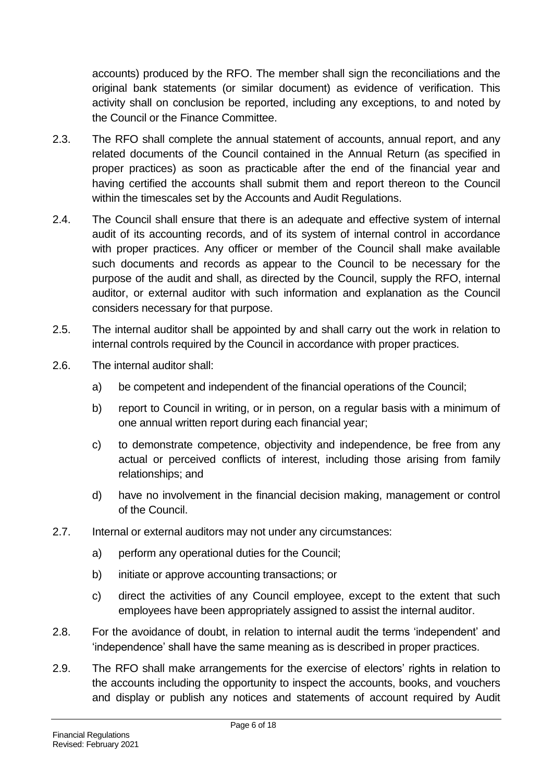accounts) produced by the RFO. The member shall sign the reconciliations and the original bank statements (or similar document) as evidence of verification. This activity shall on conclusion be reported, including any exceptions, to and noted by the Council or the Finance Committee.

- 2.3. The RFO shall complete the annual statement of accounts, annual report, and any related documents of the Council contained in the Annual Return (as specified in proper practices) as soon as practicable after the end of the financial year and having certified the accounts shall submit them and report thereon to the Council within the timescales set by the Accounts and Audit Regulations.
- 2.4. The Council shall ensure that there is an adequate and effective system of internal audit of its accounting records, and of its system of internal control in accordance with proper practices. Any officer or member of the Council shall make available such documents and records as appear to the Council to be necessary for the purpose of the audit and shall, as directed by the Council, supply the RFO, internal auditor, or external auditor with such information and explanation as the Council considers necessary for that purpose.
- 2.5. The internal auditor shall be appointed by and shall carry out the work in relation to internal controls required by the Council in accordance with proper practices.
- 2.6. The internal auditor shall:
	- a) be competent and independent of the financial operations of the Council;
	- b) report to Council in writing, or in person, on a regular basis with a minimum of one annual written report during each financial year;
	- c) to demonstrate competence, objectivity and independence, be free from any actual or perceived conflicts of interest, including those arising from family relationships; and
	- d) have no involvement in the financial decision making, management or control of the Council.
- 2.7. Internal or external auditors may not under any circumstances:
	- a) perform any operational duties for the Council;
	- b) initiate or approve accounting transactions; or
	- c) direct the activities of any Council employee, except to the extent that such employees have been appropriately assigned to assist the internal auditor.
- 2.8. For the avoidance of doubt, in relation to internal audit the terms 'independent' and 'independence' shall have the same meaning as is described in proper practices.
- 2.9. The RFO shall make arrangements for the exercise of electors' rights in relation to the accounts including the opportunity to inspect the accounts, books, and vouchers and display or publish any notices and statements of account required by Audit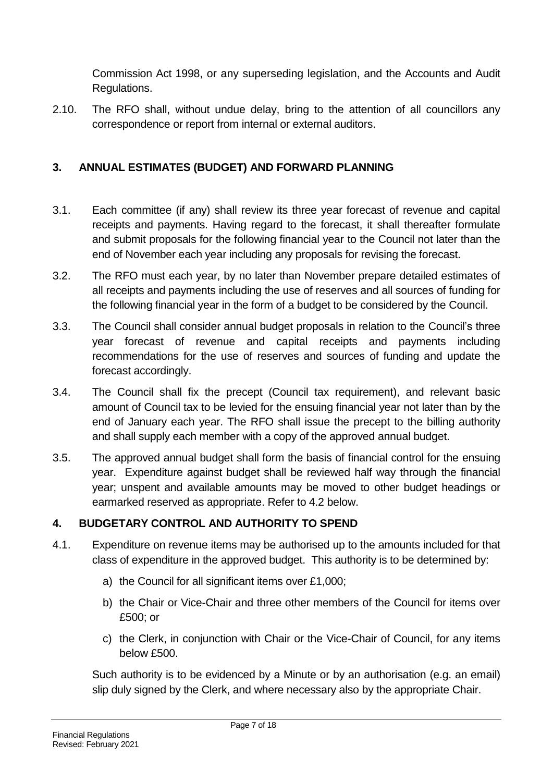Commission Act 1998, or any superseding legislation, and the Accounts and Audit Regulations.

2.10. The RFO shall, without undue delay, bring to the attention of all councillors any correspondence or report from internal or external auditors.

## <span id="page-6-0"></span>**3. ANNUAL ESTIMATES (BUDGET) AND FORWARD PLANNING**

- 3.1. Each committee (if any) shall review its three year forecast of revenue and capital receipts and payments. Having regard to the forecast, it shall thereafter formulate and submit proposals for the following financial year to the Council not later than the end of November each year including any proposals for revising the forecast.
- 3.2. The RFO must each year, by no later than November prepare detailed estimates of all receipts and payments including the use of reserves and all sources of funding for the following financial year in the form of a budget to be considered by the Council.
- 3.3. The Council shall consider annual budget proposals in relation to the Council's three year forecast of revenue and capital receipts and payments including recommendations for the use of reserves and sources of funding and update the forecast accordingly.
- 3.4. The Council shall fix the precept (Council tax requirement), and relevant basic amount of Council tax to be levied for the ensuing financial year not later than by the end of January each year. The RFO shall issue the precept to the billing authority and shall supply each member with a copy of the approved annual budget.
- 3.5. The approved annual budget shall form the basis of financial control for the ensuing year. Expenditure against budget shall be reviewed half way through the financial year; unspent and available amounts may be moved to other budget headings or earmarked reserved as appropriate. Refer to 4.2 below.

#### <span id="page-6-1"></span>**4. BUDGETARY CONTROL AND AUTHORITY TO SPEND**

- 4.1. Expenditure on revenue items may be authorised up to the amounts included for that class of expenditure in the approved budget. This authority is to be determined by:
	- a) the Council for all significant items over £1,000;
	- b) the Chair or Vice-Chair and three other members of the Council for items over £500; or
	- c) the Clerk, in conjunction with Chair or the Vice-Chair of Council, for any items below £500.

Such authority is to be evidenced by a Minute or by an authorisation (e.g. an email) slip duly signed by the Clerk, and where necessary also by the appropriate Chair.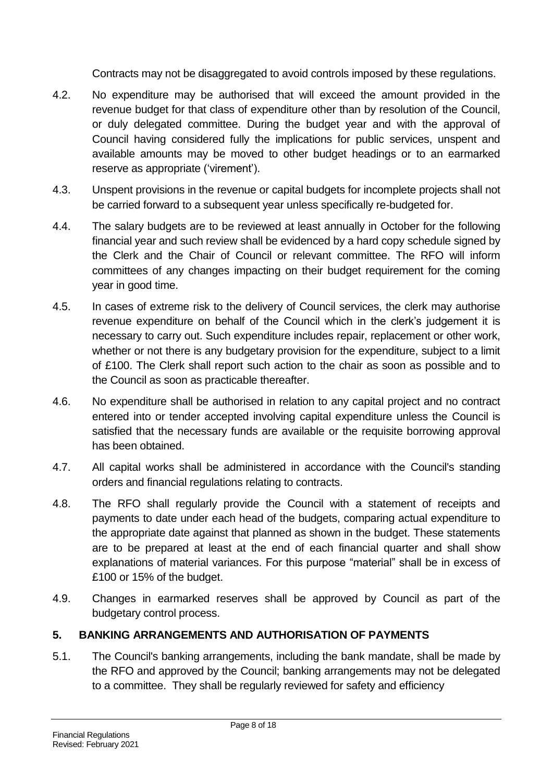Contracts may not be disaggregated to avoid controls imposed by these regulations.

- 4.2. No expenditure may be authorised that will exceed the amount provided in the revenue budget for that class of expenditure other than by resolution of the Council, or duly delegated committee. During the budget year and with the approval of Council having considered fully the implications for public services, unspent and available amounts may be moved to other budget headings or to an earmarked reserve as appropriate ('virement').
- 4.3. Unspent provisions in the revenue or capital budgets for incomplete projects shall not be carried forward to a subsequent year unless specifically re-budgeted for.
- 4.4. The salary budgets are to be reviewed at least annually in October for the following financial year and such review shall be evidenced by a hard copy schedule signed by the Clerk and the Chair of Council or relevant committee. The RFO will inform committees of any changes impacting on their budget requirement for the coming year in good time.
- 4.5. In cases of extreme risk to the delivery of Council services, the clerk may authorise revenue expenditure on behalf of the Council which in the clerk's judgement it is necessary to carry out. Such expenditure includes repair, replacement or other work, whether or not there is any budgetary provision for the expenditure, subject to a limit of £100. The Clerk shall report such action to the chair as soon as possible and to the Council as soon as practicable thereafter.
- 4.6. No expenditure shall be authorised in relation to any capital project and no contract entered into or tender accepted involving capital expenditure unless the Council is satisfied that the necessary funds are available or the requisite borrowing approval has been obtained.
- 4.7. All capital works shall be administered in accordance with the Council's standing orders and financial regulations relating to contracts.
- 4.8. The RFO shall regularly provide the Council with a statement of receipts and payments to date under each head of the budgets, comparing actual expenditure to the appropriate date against that planned as shown in the budget. These statements are to be prepared at least at the end of each financial quarter and shall show explanations of material variances. For this purpose "material" shall be in excess of £100 or 15% of the budget.
- 4.9. Changes in earmarked reserves shall be approved by Council as part of the budgetary control process.

#### <span id="page-7-0"></span>**5. BANKING ARRANGEMENTS AND AUTHORISATION OF PAYMENTS**

5.1. The Council's banking arrangements, including the bank mandate, shall be made by the RFO and approved by the Council; banking arrangements may not be delegated to a committee. They shall be regularly reviewed for safety and efficiency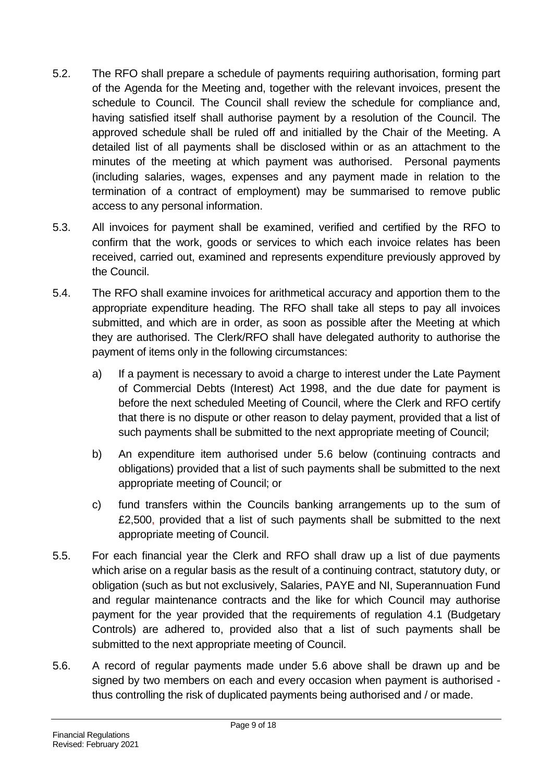- 5.2. The RFO shall prepare a schedule of payments requiring authorisation, forming part of the Agenda for the Meeting and, together with the relevant invoices, present the schedule to Council. The Council shall review the schedule for compliance and, having satisfied itself shall authorise payment by a resolution of the Council. The approved schedule shall be ruled off and initialled by the Chair of the Meeting. A detailed list of all payments shall be disclosed within or as an attachment to the minutes of the meeting at which payment was authorised. Personal payments (including salaries, wages, expenses and any payment made in relation to the termination of a contract of employment) may be summarised to remove public access to any personal information.
- 5.3. All invoices for payment shall be examined, verified and certified by the RFO to confirm that the work, goods or services to which each invoice relates has been received, carried out, examined and represents expenditure previously approved by the Council.
- 5.4. The RFO shall examine invoices for arithmetical accuracy and apportion them to the appropriate expenditure heading. The RFO shall take all steps to pay all invoices submitted, and which are in order, as soon as possible after the Meeting at which they are authorised. The Clerk/RFO shall have delegated authority to authorise the payment of items only in the following circumstances:
	- a) If a payment is necessary to avoid a charge to interest under the Late Payment of Commercial Debts (Interest) Act 1998, and the due date for payment is before the next scheduled Meeting of Council, where the Clerk and RFO certify that there is no dispute or other reason to delay payment, provided that a list of such payments shall be submitted to the next appropriate meeting of Council;
	- b) An expenditure item authorised under 5.6 below (continuing contracts and obligations) provided that a list of such payments shall be submitted to the next appropriate meeting of Council; or
	- c) fund transfers within the Councils banking arrangements up to the sum of £2,500, provided that a list of such payments shall be submitted to the next appropriate meeting of Council.
- 5.5. For each financial year the Clerk and RFO shall draw up a list of due payments which arise on a regular basis as the result of a continuing contract, statutory duty, or obligation (such as but not exclusively, Salaries, PAYE and NI, Superannuation Fund and regular maintenance contracts and the like for which Council may authorise payment for the year provided that the requirements of regulation 4.1 (Budgetary Controls) are adhered to, provided also that a list of such payments shall be submitted to the next appropriate meeting of Council.
- 5.6. A record of regular payments made under 5.6 above shall be drawn up and be signed by two members on each and every occasion when payment is authorised thus controlling the risk of duplicated payments being authorised and / or made.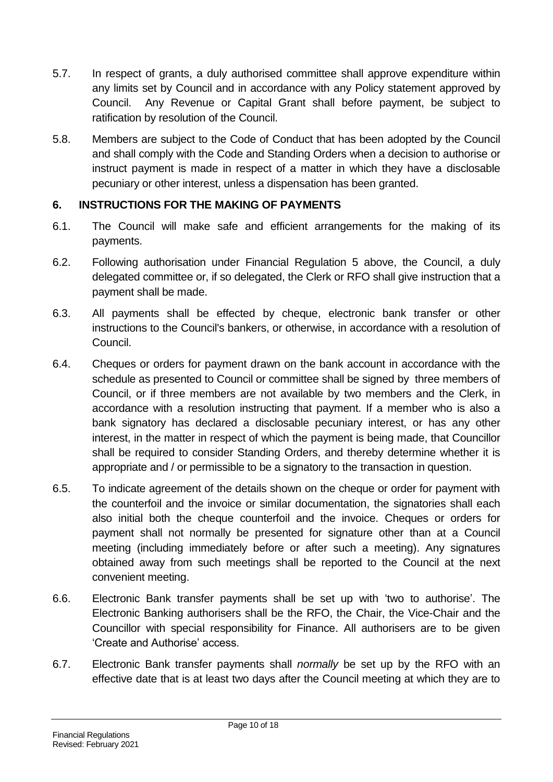- 5.7. In respect of grants, a duly authorised committee shall approve expenditure within any limits set by Council and in accordance with any Policy statement approved by Council. Any Revenue or Capital Grant shall before payment, be subject to ratification by resolution of the Council.
- 5.8. Members are subject to the Code of Conduct that has been adopted by the Council and shall comply with the Code and Standing Orders when a decision to authorise or instruct payment is made in respect of a matter in which they have a disclosable pecuniary or other interest, unless a dispensation has been granted.

## <span id="page-9-0"></span>**6. INSTRUCTIONS FOR THE MAKING OF PAYMENTS**

- 6.1. The Council will make safe and efficient arrangements for the making of its payments.
- 6.2. Following authorisation under Financial Regulation 5 above, the Council, a duly delegated committee or, if so delegated, the Clerk or RFO shall give instruction that a payment shall be made.
- 6.3. All payments shall be effected by cheque, electronic bank transfer or other instructions to the Council's bankers, or otherwise, in accordance with a resolution of Council.
- 6.4. Cheques or orders for payment drawn on the bank account in accordance with the schedule as presented to Council or committee shall be signed by three members of Council, or if three members are not available by two members and the Clerk, in accordance with a resolution instructing that payment. If a member who is also a bank signatory has declared a disclosable pecuniary interest, or has any other interest, in the matter in respect of which the payment is being made, that Councillor shall be required to consider Standing Orders, and thereby determine whether it is appropriate and / or permissible to be a signatory to the transaction in question.
- 6.5. To indicate agreement of the details shown on the cheque or order for payment with the counterfoil and the invoice or similar documentation, the signatories shall each also initial both the cheque counterfoil and the invoice. Cheques or orders for payment shall not normally be presented for signature other than at a Council meeting (including immediately before or after such a meeting). Any signatures obtained away from such meetings shall be reported to the Council at the next convenient meeting.
- 6.6. Electronic Bank transfer payments shall be set up with 'two to authorise'. The Electronic Banking authorisers shall be the RFO, the Chair, the Vice-Chair and the Councillor with special responsibility for Finance. All authorisers are to be given 'Create and Authorise' access.
- 6.7. Electronic Bank transfer payments shall *normally* be set up by the RFO with an effective date that is at least two days after the Council meeting at which they are to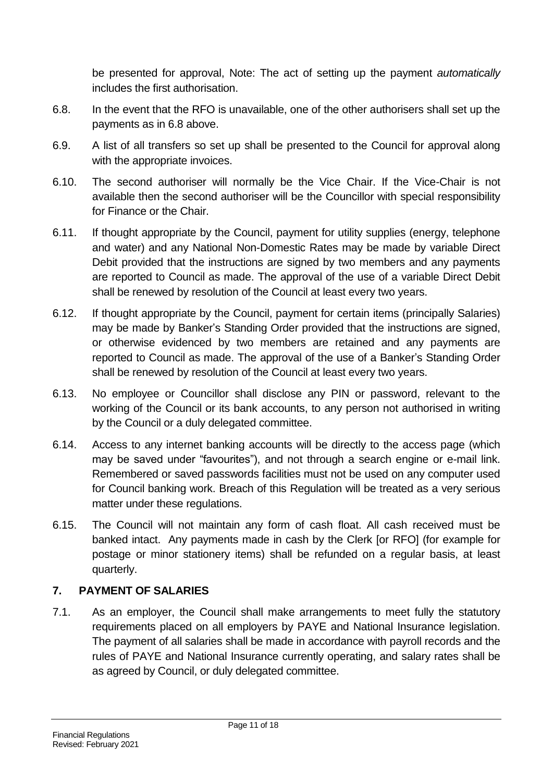be presented for approval, Note: The act of setting up the payment *automatically* includes the first authorisation.

- 6.8. In the event that the RFO is unavailable, one of the other authorisers shall set up the payments as in 6.8 above.
- 6.9. A list of all transfers so set up shall be presented to the Council for approval along with the appropriate invoices.
- 6.10. The second authoriser will normally be the Vice Chair. If the Vice-Chair is not available then the second authoriser will be the Councillor with special responsibility for Finance or the Chair.
- 6.11. If thought appropriate by the Council, payment for utility supplies (energy, telephone and water) and any National Non-Domestic Rates may be made by variable Direct Debit provided that the instructions are signed by two members and any payments are reported to Council as made. The approval of the use of a variable Direct Debit shall be renewed by resolution of the Council at least every two years.
- 6.12. If thought appropriate by the Council, payment for certain items (principally Salaries) may be made by Banker's Standing Order provided that the instructions are signed, or otherwise evidenced by two members are retained and any payments are reported to Council as made. The approval of the use of a Banker's Standing Order shall be renewed by resolution of the Council at least every two years.
- 6.13. No employee or Councillor shall disclose any PIN or password, relevant to the working of the Council or its bank accounts, to any person not authorised in writing by the Council or a duly delegated committee.
- 6.14. Access to any internet banking accounts will be directly to the access page (which may be saved under "favourites"), and not through a search engine or e-mail link. Remembered or saved passwords facilities must not be used on any computer used for Council banking work. Breach of this Regulation will be treated as a very serious matter under these regulations.
- 6.15. The Council will not maintain any form of cash float. All cash received must be banked intact. Any payments made in cash by the Clerk [or RFO] (for example for postage or minor stationery items) shall be refunded on a regular basis, at least quarterly.

#### <span id="page-10-0"></span>**7. PAYMENT OF SALARIES**

7.1. As an employer, the Council shall make arrangements to meet fully the statutory requirements placed on all employers by PAYE and National Insurance legislation. The payment of all salaries shall be made in accordance with payroll records and the rules of PAYE and National Insurance currently operating, and salary rates shall be as agreed by Council, or duly delegated committee.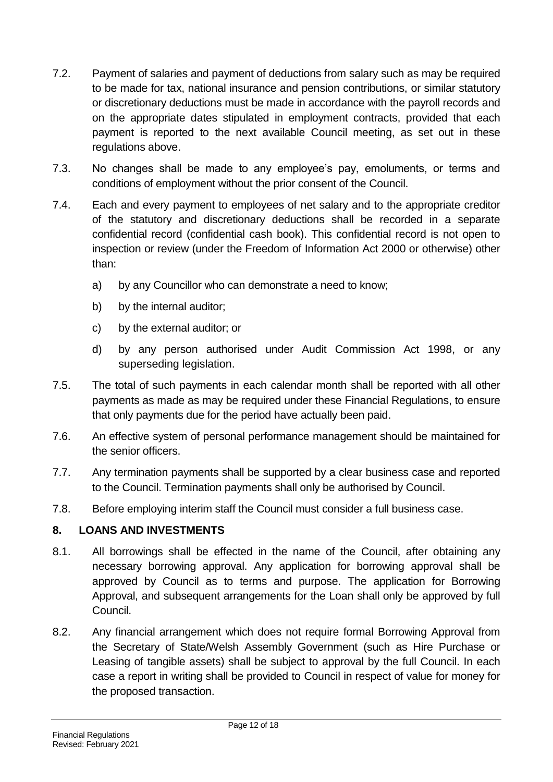- 7.2. Payment of salaries and payment of deductions from salary such as may be required to be made for tax, national insurance and pension contributions, or similar statutory or discretionary deductions must be made in accordance with the payroll records and on the appropriate dates stipulated in employment contracts, provided that each payment is reported to the next available Council meeting, as set out in these regulations above.
- 7.3. No changes shall be made to any employee's pay, emoluments, or terms and conditions of employment without the prior consent of the Council.
- 7.4. Each and every payment to employees of net salary and to the appropriate creditor of the statutory and discretionary deductions shall be recorded in a separate confidential record (confidential cash book). This confidential record is not open to inspection or review (under the Freedom of Information Act 2000 or otherwise) other than:
	- a) by any Councillor who can demonstrate a need to know;
	- b) by the internal auditor;
	- c) by the external auditor; or
	- d) by any person authorised under Audit Commission Act 1998, or any superseding legislation.
- 7.5. The total of such payments in each calendar month shall be reported with all other payments as made as may be required under these Financial Regulations, to ensure that only payments due for the period have actually been paid.
- 7.6. An effective system of personal performance management should be maintained for the senior officers.
- 7.7. Any termination payments shall be supported by a clear business case and reported to the Council. Termination payments shall only be authorised by Council.
- 7.8. Before employing interim staff the Council must consider a full business case.

#### <span id="page-11-0"></span>**8. LOANS AND INVESTMENTS**

- 8.1. All borrowings shall be effected in the name of the Council, after obtaining any necessary borrowing approval. Any application for borrowing approval shall be approved by Council as to terms and purpose. The application for Borrowing Approval, and subsequent arrangements for the Loan shall only be approved by full Council.
- 8.2. Any financial arrangement which does not require formal Borrowing Approval from the Secretary of State/Welsh Assembly Government (such as Hire Purchase or Leasing of tangible assets) shall be subject to approval by the full Council. In each case a report in writing shall be provided to Council in respect of value for money for the proposed transaction.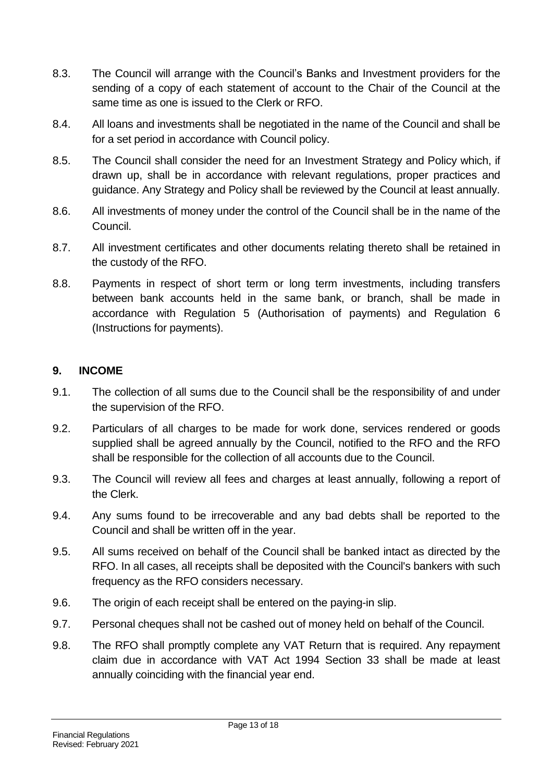- 8.3. The Council will arrange with the Council's Banks and Investment providers for the sending of a copy of each statement of account to the Chair of the Council at the same time as one is issued to the Clerk or RFO.
- 8.4. All loans and investments shall be negotiated in the name of the Council and shall be for a set period in accordance with Council policy.
- 8.5. The Council shall consider the need for an Investment Strategy and Policy which, if drawn up, shall be in accordance with relevant regulations, proper practices and guidance. Any Strategy and Policy shall be reviewed by the Council at least annually.
- 8.6. All investments of money under the control of the Council shall be in the name of the Council.
- 8.7. All investment certificates and other documents relating thereto shall be retained in the custody of the RFO.
- 8.8. Payments in respect of short term or long term investments, including transfers between bank accounts held in the same bank, or branch, shall be made in accordance with Regulation 5 (Authorisation of payments) and Regulation 6 (Instructions for payments).

#### <span id="page-12-0"></span>**9. INCOME**

- 9.1. The collection of all sums due to the Council shall be the responsibility of and under the supervision of the RFO.
- 9.2. Particulars of all charges to be made for work done, services rendered or goods supplied shall be agreed annually by the Council, notified to the RFO and the RFO shall be responsible for the collection of all accounts due to the Council.
- 9.3. The Council will review all fees and charges at least annually, following a report of the Clerk.
- 9.4. Any sums found to be irrecoverable and any bad debts shall be reported to the Council and shall be written off in the year.
- 9.5. All sums received on behalf of the Council shall be banked intact as directed by the RFO. In all cases, all receipts shall be deposited with the Council's bankers with such frequency as the RFO considers necessary.
- 9.6. The origin of each receipt shall be entered on the paying-in slip.
- 9.7. Personal cheques shall not be cashed out of money held on behalf of the Council.
- 9.8. The RFO shall promptly complete any VAT Return that is required. Any repayment claim due in accordance with VAT Act 1994 Section 33 shall be made at least annually coinciding with the financial year end.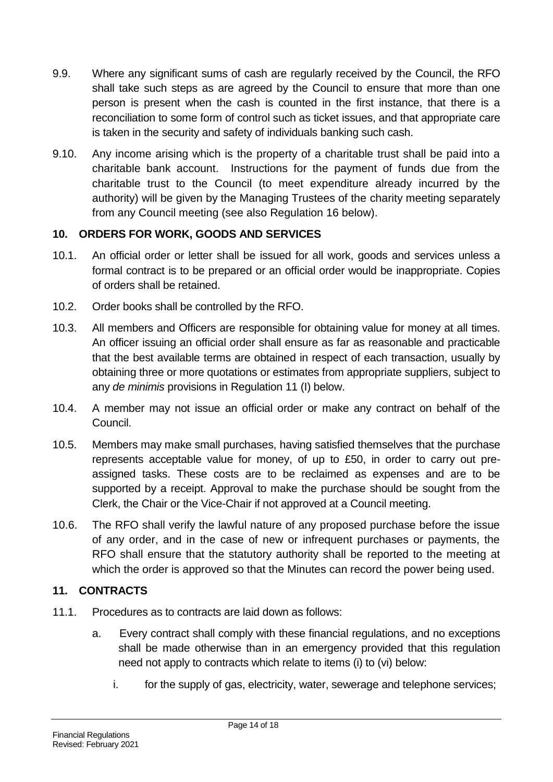- 9.9. Where any significant sums of cash are regularly received by the Council, the RFO shall take such steps as are agreed by the Council to ensure that more than one person is present when the cash is counted in the first instance, that there is a reconciliation to some form of control such as ticket issues, and that appropriate care is taken in the security and safety of individuals banking such cash.
- 9.10. Any income arising which is the property of a charitable trust shall be paid into a charitable bank account. Instructions for the payment of funds due from the charitable trust to the Council (to meet expenditure already incurred by the authority) will be given by the Managing Trustees of the charity meeting separately from any Council meeting (see also Regulation 16 below).

## <span id="page-13-0"></span>**10. ORDERS FOR WORK, GOODS AND SERVICES**

- 10.1. An official order or letter shall be issued for all work, goods and services unless a formal contract is to be prepared or an official order would be inappropriate. Copies of orders shall be retained.
- 10.2. Order books shall be controlled by the RFO.
- 10.3. All members and Officers are responsible for obtaining value for money at all times. An officer issuing an official order shall ensure as far as reasonable and practicable that the best available terms are obtained in respect of each transaction, usually by obtaining three or more quotations or estimates from appropriate suppliers, subject to any *de minimis* provisions in Regulation 11 (I) below.
- 10.4. A member may not issue an official order or make any contract on behalf of the Council.
- 10.5. Members may make small purchases, having satisfied themselves that the purchase represents acceptable value for money, of up to £50, in order to carry out preassigned tasks. These costs are to be reclaimed as expenses and are to be supported by a receipt. Approval to make the purchase should be sought from the Clerk, the Chair or the Vice-Chair if not approved at a Council meeting.
- 10.6. The RFO shall verify the lawful nature of any proposed purchase before the issue of any order, and in the case of new or infrequent purchases or payments, the RFO shall ensure that the statutory authority shall be reported to the meeting at which the order is approved so that the Minutes can record the power being used.

#### <span id="page-13-1"></span>**11. CONTRACTS**

- 11.1. Procedures as to contracts are laid down as follows:
	- a. Every contract shall comply with these financial regulations, and no exceptions shall be made otherwise than in an emergency provided that this regulation need not apply to contracts which relate to items (i) to (vi) below:
		- i. for the supply of gas, electricity, water, sewerage and telephone services;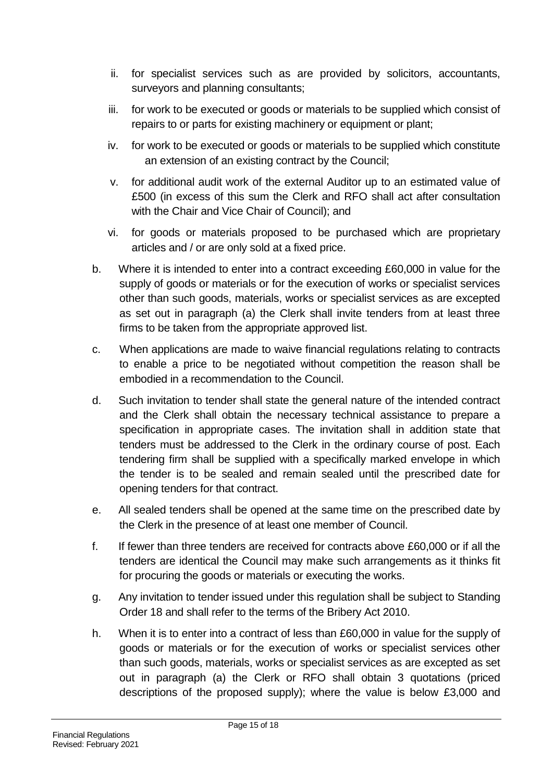- ii. for specialist services such as are provided by solicitors, accountants, surveyors and planning consultants;
- iii. for work to be executed or goods or materials to be supplied which consist of repairs to or parts for existing machinery or equipment or plant;
- iv. for work to be executed or goods or materials to be supplied which constitute an extension of an existing contract by the Council;
- v. for additional audit work of the external Auditor up to an estimated value of £500 (in excess of this sum the Clerk and RFO shall act after consultation with the Chair and Vice Chair of Council); and
- vi. for goods or materials proposed to be purchased which are proprietary articles and / or are only sold at a fixed price.
- b. Where it is intended to enter into a contract exceeding £60,000 in value for the supply of goods or materials or for the execution of works or specialist services other than such goods, materials, works or specialist services as are excepted as set out in paragraph (a) the Clerk shall invite tenders from at least three firms to be taken from the appropriate approved list.
- c. When applications are made to waive financial regulations relating to contracts to enable a price to be negotiated without competition the reason shall be embodied in a recommendation to the Council.
- d. Such invitation to tender shall state the general nature of the intended contract and the Clerk shall obtain the necessary technical assistance to prepare a specification in appropriate cases. The invitation shall in addition state that tenders must be addressed to the Clerk in the ordinary course of post. Each tendering firm shall be supplied with a specifically marked envelope in which the tender is to be sealed and remain sealed until the prescribed date for opening tenders for that contract.
- e. All sealed tenders shall be opened at the same time on the prescribed date by the Clerk in the presence of at least one member of Council.
- f. If fewer than three tenders are received for contracts above £60,000 or if all the tenders are identical the Council may make such arrangements as it thinks fit for procuring the goods or materials or executing the works.
- g. Any invitation to tender issued under this regulation shall be subject to Standing Order 18 and shall refer to the terms of the Bribery Act 2010.
- h. When it is to enter into a contract of less than £60,000 in value for the supply of goods or materials or for the execution of works or specialist services other than such goods, materials, works or specialist services as are excepted as set out in paragraph (a) the Clerk or RFO shall obtain 3 quotations (priced descriptions of the proposed supply); where the value is below £3,000 and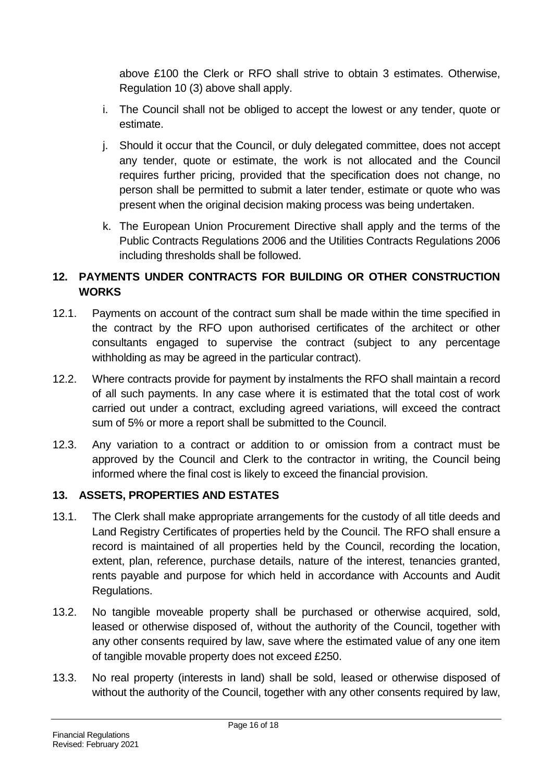above £100 the Clerk or RFO shall strive to obtain 3 estimates. Otherwise, Regulation 10 (3) above shall apply.

- i. The Council shall not be obliged to accept the lowest or any tender, quote or estimate.
- j. Should it occur that the Council, or duly delegated committee, does not accept any tender, quote or estimate, the work is not allocated and the Council requires further pricing, provided that the specification does not change, no person shall be permitted to submit a later tender, estimate or quote who was present when the original decision making process was being undertaken.
- k. The European Union Procurement Directive shall apply and the terms of the Public Contracts Regulations 2006 and the Utilities Contracts Regulations 2006 including thresholds shall be followed.

# <span id="page-15-0"></span>**12. PAYMENTS UNDER CONTRACTS FOR BUILDING OR OTHER CONSTRUCTION WORKS**

- 12.1. Payments on account of the contract sum shall be made within the time specified in the contract by the RFO upon authorised certificates of the architect or other consultants engaged to supervise the contract (subject to any percentage withholding as may be agreed in the particular contract).
- 12.2. Where contracts provide for payment by instalments the RFO shall maintain a record of all such payments. In any case where it is estimated that the total cost of work carried out under a contract, excluding agreed variations, will exceed the contract sum of 5% or more a report shall be submitted to the Council.
- 12.3. Any variation to a contract or addition to or omission from a contract must be approved by the Council and Clerk to the contractor in writing, the Council being informed where the final cost is likely to exceed the financial provision.

#### <span id="page-15-1"></span>**13. ASSETS, PROPERTIES AND ESTATES**

- 13.1. The Clerk shall make appropriate arrangements for the custody of all title deeds and Land Registry Certificates of properties held by the Council. The RFO shall ensure a record is maintained of all properties held by the Council, recording the location, extent, plan, reference, purchase details, nature of the interest, tenancies granted, rents payable and purpose for which held in accordance with Accounts and Audit Regulations.
- 13.2. No tangible moveable property shall be purchased or otherwise acquired, sold, leased or otherwise disposed of, without the authority of the Council, together with any other consents required by law, save where the estimated value of any one item of tangible movable property does not exceed £250.
- 13.3. No real property (interests in land) shall be sold, leased or otherwise disposed of without the authority of the Council, together with any other consents required by law,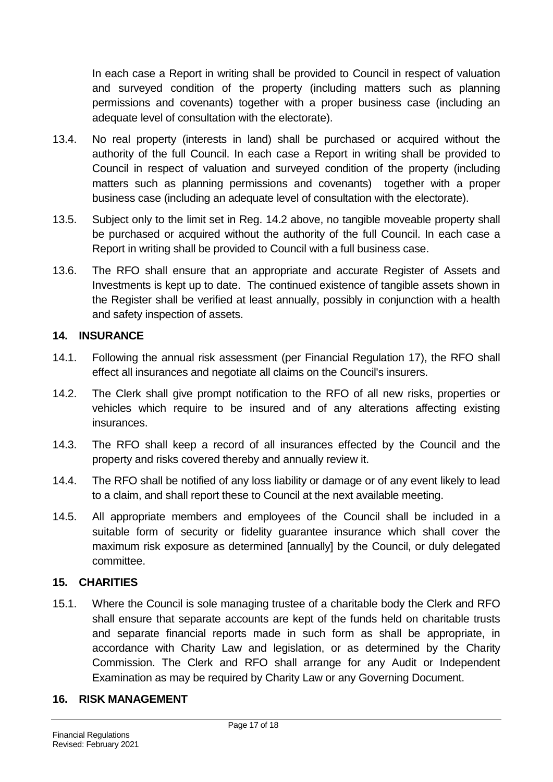In each case a Report in writing shall be provided to Council in respect of valuation and surveyed condition of the property (including matters such as planning permissions and covenants) together with a proper business case (including an adequate level of consultation with the electorate).

- 13.4. No real property (interests in land) shall be purchased or acquired without the authority of the full Council. In each case a Report in writing shall be provided to Council in respect of valuation and surveyed condition of the property (including matters such as planning permissions and covenants) together with a proper business case (including an adequate level of consultation with the electorate).
- 13.5. Subject only to the limit set in Reg. 14.2 above, no tangible moveable property shall be purchased or acquired without the authority of the full Council. In each case a Report in writing shall be provided to Council with a full business case.
- 13.6. The RFO shall ensure that an appropriate and accurate Register of Assets and Investments is kept up to date. The continued existence of tangible assets shown in the Register shall be verified at least annually, possibly in conjunction with a health and safety inspection of assets.

#### <span id="page-16-0"></span>**14. INSURANCE**

- 14.1. Following the annual risk assessment (per Financial Regulation 17), the RFO shall effect all insurances and negotiate all claims on the Council's insurers.
- 14.2. The Clerk shall give prompt notification to the RFO of all new risks, properties or vehicles which require to be insured and of any alterations affecting existing insurances.
- 14.3. The RFO shall keep a record of all insurances effected by the Council and the property and risks covered thereby and annually review it.
- 14.4. The RFO shall be notified of any loss liability or damage or of any event likely to lead to a claim, and shall report these to Council at the next available meeting.
- 14.5. All appropriate members and employees of the Council shall be included in a suitable form of security or fidelity guarantee insurance which shall cover the maximum risk exposure as determined [annually] by the Council, or duly delegated committee.

# <span id="page-16-1"></span>**15. CHARITIES**

15.1. Where the Council is sole managing trustee of a charitable body the Clerk and RFO shall ensure that separate accounts are kept of the funds held on charitable trusts and separate financial reports made in such form as shall be appropriate, in accordance with Charity Law and legislation, or as determined by the Charity Commission. The Clerk and RFO shall arrange for any Audit or Independent Examination as may be required by Charity Law or any Governing Document.

# <span id="page-16-2"></span>**16. RISK MANAGEMENT**